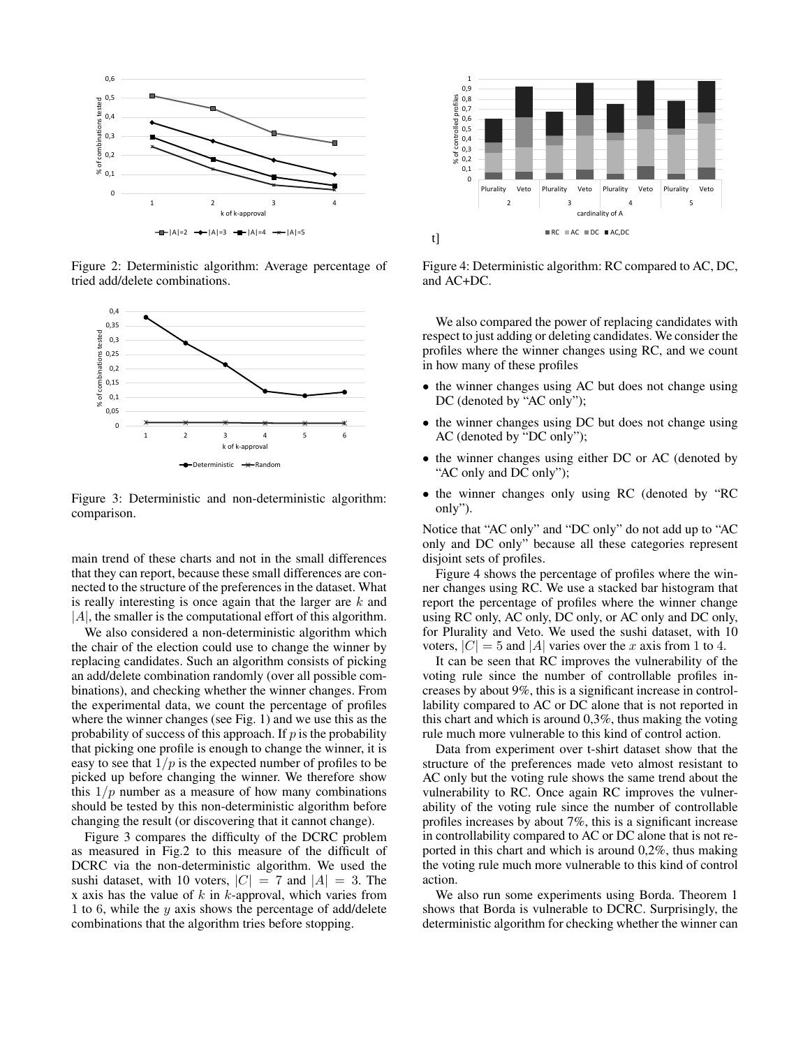

Figure 2: Deterministic algorithm: Average percentage of tried add/delete combinations.



Figure 3: Deterministic and non-deterministic algorithm: comparison.

main trend of these charts and not in the small differences that they can report, because these small differences are connected to the structure of the preferences in the dataset. What is really interesting is once again that the larger are  $k$  and  $|A|$ , the smaller is the computational effort of this algorithm.

We also considered a non-deterministic algorithm which the chair of the election could use to change the winner by replacing candidates. Such an algorithm consists of picking an add/delete combination randomly (over all possible combinations), and checking whether the winner changes. From the experimental data, we count the percentage of profiles where the winner changes (see Fig. 1) and we use this as the probability of success of this approach. If  $p$  is the probability that picking one profile is enough to change the winner, it is easy to see that  $1/p$  is the expected number of profiles to be picked up before changing the winner. We therefore show this  $1/p$  number as a measure of how many combinations should be tested by this non-deterministic algorithm before changing the result (or discovering that it cannot change).

Figure 3 compares the difficulty of the DCRC problem as measured in Fig.2 to this measure of the difficult of DCRC via the non-deterministic algorithm. We used the sushi dataset, with 10 voters,  $|C| = 7$  and  $|A| = 3$ . The x axis has the value of  $k$  in  $k$ -approval, which varies from 1 to 6, while the  $y$  axis shows the percentage of add/delete combinations that the algorithm tries before stopping.



Figure 4: Deterministic algorithm: RC compared to AC, DC, and AC+DC.

We also compared the power of replacing candidates with respect to just adding or deleting candidates. We consider the profiles where the winner changes using RC, and we count in how many of these profiles

- the winner changes using AC but does not change using DC (denoted by "AC only");
- the winner changes using DC but does not change using AC (denoted by "DC only");
- the winner changes using either DC or AC (denoted by "AC only and DC only");
- the winner changes only using RC (denoted by "RC only").

Notice that "AC only" and "DC only" do not add up to "AC only and DC only" because all these categories represent disjoint sets of profiles.

Figure 4 shows the percentage of profiles where the winner changes using RC. We use a stacked bar histogram that report the percentage of profiles where the winner change using RC only, AC only, DC only, or AC only and DC only, for Plurality and Veto. We used the sushi dataset, with 10 voters,  $|C| = 5$  and |A| varies over the x axis from 1 to 4.

It can be seen that RC improves the vulnerability of the voting rule since the number of controllable profiles increases by about 9%, this is a significant increase in controllability compared to AC or DC alone that is not reported in this chart and which is around 0,3%, thus making the voting rule much more vulnerable to this kind of control action.

Data from experiment over t-shirt dataset show that the structure of the preferences made veto almost resistant to AC only but the voting rule shows the same trend about the vulnerability to RC. Once again RC improves the vulnerability of the voting rule since the number of controllable profiles increases by about 7%, this is a significant increase in controllability compared to AC or DC alone that is not reported in this chart and which is around 0,2%, thus making the voting rule much more vulnerable to this kind of control action.

We also run some experiments using Borda. Theorem 1 shows that Borda is vulnerable to DCRC. Surprisingly, the deterministic algorithm for checking whether the winner can